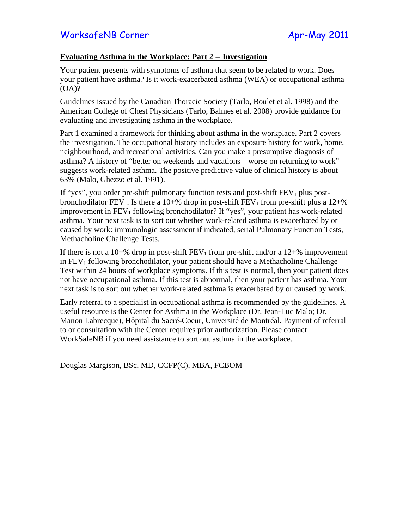## **Evaluating Asthma in the Workplace: Part 2 -- Investigation**

Your patient presents with symptoms of asthma that seem to be related to work. Does your patient have asthma? Is it work-exacerbated asthma (WEA) or occupational asthma (OA)?

Guidelines issued by the Canadian Thoracic Society (Tarlo, Boulet et al. 1998) and the American College of Chest Physicians (Tarlo, Balmes et al. 2008) provide guidance for evaluating and investigating asthma in the workplace.

Part 1 examined a framework for thinking about asthma in the workplace. Part 2 covers the investigation. The occupational history includes an exposure history for work, home, neighbourhood, and recreational activities. Can you make a presumptive diagnosis of asthma? A history of "better on weekends and vacations – worse on returning to work" suggests work-related asthma. The positive predictive value of clinical history is about 63% (Malo, Ghezzo et al. 1991).

If "yes", you order pre-shift pulmonary function tests and post-shift  $FEV<sub>1</sub>$  plus postbronchodilator  $FEV_1$ . Is there a 10+% drop in post-shift  $FEV_1$  from pre-shift plus a 12+% improvement in  $FEV<sub>1</sub>$  following bronchodilator? If "yes", your patient has work-related asthma. Your next task is to sort out whether work-related asthma is exacerbated by or caused by work: immunologic assessment if indicated, serial Pulmonary Function Tests, Methacholine Challenge Tests.

If there is not a  $10+%$  drop in post-shift FEV<sub>1</sub> from pre-shift and/or a  $12+%$  improvement in  $FEV<sub>1</sub>$  following bronchodilator, your patient should have a Methacholine Challenge Test within 24 hours of workplace symptoms. If this test is normal, then your patient does not have occupational asthma. If this test is abnormal, then your patient has asthma. Your next task is to sort out whether work-related asthma is exacerbated by or caused by work.

Early referral to a specialist in occupational asthma is recommended by the guidelines. A useful resource is the Center for Asthma in the Workplace (Dr. Jean-Luc Malo; Dr. Manon Labrecque), Hôpital du Sacré-Coeur, Université de Montréal. Payment of referral to or consultation with the Center requires prior authorization. Please contact WorkSafeNB if you need assistance to sort out asthma in the workplace.

Douglas Margison, BSc, MD, CCFP(C), MBA, FCBOM